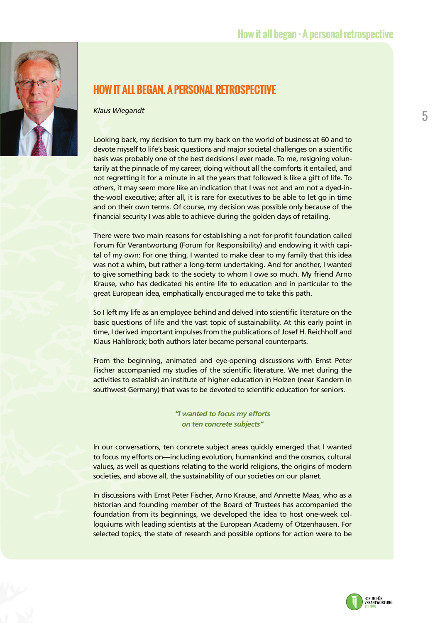

## **HOW IT ALL BEGAN. A PERSONAL RETROSPECTIVE**

*Klaus Wiegandt*

Looking back, my decision to turn my back on the world of business at 60 and to devote myself to life's basic questions and major societal challenges on a scientific basis was probably one of the best decisions I ever made. To me, resigning voluntarily at the pinnacle of my career, doing without all the comforts it entailed, and not regretting it for a minute in all the years that followed is like a gift of life. To others, it may seem more like an indication that I was not and am not a dyed-inthe-wool executive; after all, it is rare for executives to be able to let go in time and on their own terms. Of course, my decision was possible only because of the financial security I was able to achieve during the golden days of retailing.

There were two main reasons for establishing a not-for-profit foundation called Forum für Verantwortung (Forum for Responsibility) and endowing it with capital of my own: For one thing, I wanted to make clear to my family that this idea was not a whim, but rather a long-term undertaking. And for another, I wanted to give something back to the society to whom I owe so much. My friend Arno Krause, who has dedicated his entire life to education and in particular to the great European idea, emphatically encouraged me to take this path.

So I left my life as an employee behind and delved into scientific literature on the basic questions of life and the vast topic of sustainability. At this early point in time, I derived important impulses from the publications of Josef H. Reichholf and Klaus Hahlbrock; both authors later became personal counterparts.

From the beginning, animated and eye-opening discussions with Ernst Peter Fischer accompanied my studies of the scientific literature. We met during the activities to establish an institute of higher education in Holzen (near Kandern in southwest Germany) that was to be devoted to scientific education for seniors.

> *"I wanted to focus my efforts on ten concrete subjects"*

In our conversations, ten concrete subject areas quickly emerged that I wanted to focus my efforts on—including evolution, humankind and the cosmos, cultural values, as well as questions relating to the world religions, the origins of modern societies, and above all, the sustainability of our societies on our planet.

In discussions with Ernst Peter Fischer, Arno Krause, and Annette Maas, who as a historian and founding member of the Board of Trustees has accompanied the foundation from its beginnings, we developed the idea to host one-week colloquiums with leading scientists at the European Academy of Otzenhausen. For selected topics, the state of research and possible options for action were to be

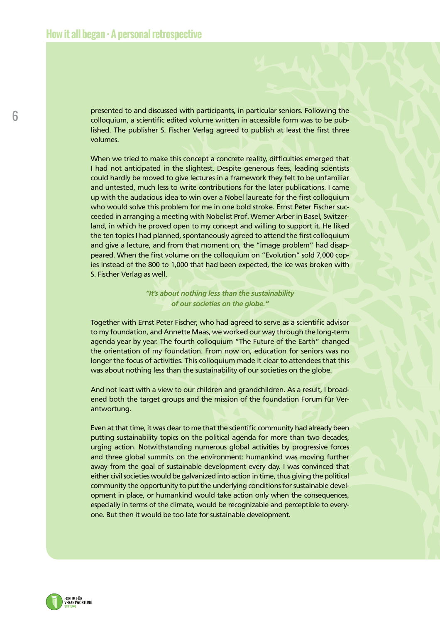presented to and discussed with participants, in particular seniors. Following the colloquium, a scientific edited volume written in accessible form was to be published. The publisher S. Fischer Verlag agreed to publish at least the first three volumes.

When we tried to make this concept a concrete reality, difficulties emerged that I had not anticipated in the slightest. Despite generous fees, leading scientists could hardly be moved to give lectures in a framework they felt to be unfamiliar and untested, much less to write contributions for the later publications. I came up with the audacious idea to win over a Nobel laureate for the first colloquium who would solve this problem for me in one bold stroke. Ernst Peter Fischer succeeded in arranging a meeting with Nobelist Prof. Werner Arber in Basel, Switzerland, in which he proved open to my concept and willing to support it. He liked the ten topics I had planned, spontaneously agreed to attend the first colloquium and give a lecture, and from that moment on, the "image problem" had disappeared. When the first volume on the colloquium on "Evolution" sold 7,000 copies instead of the 800 to 1,000 that had been expected, the ice was broken with S. Fischer Verlag as well.

> *"It's about nothing less than the sustainability of our societies on the globe."*

Together with Ernst Peter Fischer, who had agreed to serve as a scientific advisor to my foundation, and Annette Maas, we worked our way through the long-term agenda year by year. The fourth colloquium "The Future of the Earth" changed the orientation of my foundation. From now on, education for seniors was no longer the focus of activities. This colloquium made it clear to attendees that this was about nothing less than the sustainability of our societies on the globe.

And not least with a view to our children and grandchildren. As a result, I broadened both the target groups and the mission of the foundation Forum für Verantwortung.

Even at that time, it was clear to me that the scientific community had already been putting sustainability topics on the political agenda for more than two decades, urging action. Notwithstanding numerous global activities by progressive forces and three global summits on the environment: humankind was moving further away from the goal of sustainable development every day. I was convinced that either civil societies would be galvanized into action in time, thus giving the political community the opportunity to put the underlying conditions for sustainable development in place, or humankind would take action only when the consequences, especially in terms of the climate, would be recognizable and perceptible to everyone. But then it would be too late for sustainable development.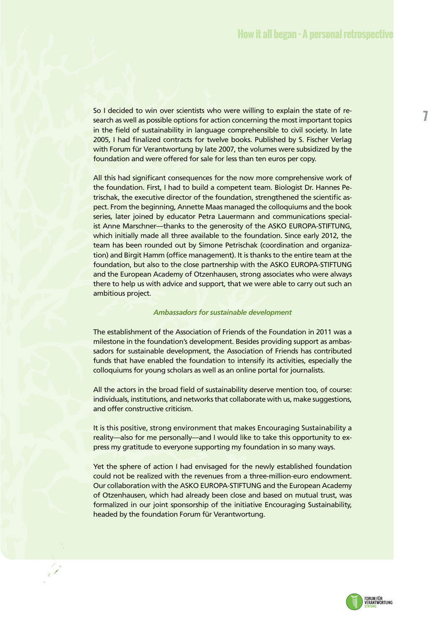So I decided to win over scientists who were willing to explain the state of research as well as possible options for action concerning the most important topics in the field of sustainability in language comprehensible to civil society. In late 2005, I had finalized contracts for twelve books. Published by S. Fischer Verlag with Forum für Verantwortung by late 2007, the volumes were subsidized by the foundation and were offered for sale for less than ten euros per copy.

All this had significant consequences for the now more comprehensive work of the foundation. First, I had to build a competent team. Biologist Dr. Hannes Petrischak, the executive director of the foundation, strengthened the scientific aspect. From the beginning, Annette Maas managed the colloquiums and the book series, later joined by educator Petra Lauermann and communications specialist Anne Marschner—thanks to the generosity of the ASKO EUROPA-STIFTUNG, which initially made all three available to the foundation. Since early 2012, the team has been rounded out by Simone Petrischak (coordination and organization) and Birgit Hamm (office management). It is thanks to the entire team at the foundation, but also to the close partnership with the ASKO EUROPA-STIFTUNG and the European Academy of Otzenhausen, strong associates who were always there to help us with advice and support, that we were able to carry out such an ambitious project.

## *Ambassadors for sustainable development*

The establishment of the Association of Friends of the Foundation in 2011 was a milestone in the foundation's development. Besides providing support as ambassadors for sustainable development, the Association of Friends has contributed funds that have enabled the foundation to intensify its activities, especially the colloquiums for young scholars as well as an online portal for journalists.

All the actors in the broad field of sustainability deserve mention too, of course: individuals, institutions, and networks that collaborate with us, make suggestions, and offer constructive criticism.

It is this positive, strong environment that makes Encouraging Sustainability a reality—also for me personally—and I would like to take this opportunity to express my gratitude to everyone supporting my foundation in so many ways.

Yet the sphere of action I had envisaged for the newly established foundation could not be realized with the revenues from a three-million-euro endowment. Our collaboration with the ASKO EUROPA-STIFTUNG and the European Academy of Otzenhausen, which had already been close and based on mutual trust, was formalized in our joint sponsorship of the initiative Encouraging Sustainability, headed by the foundation Forum für Verantwortung.